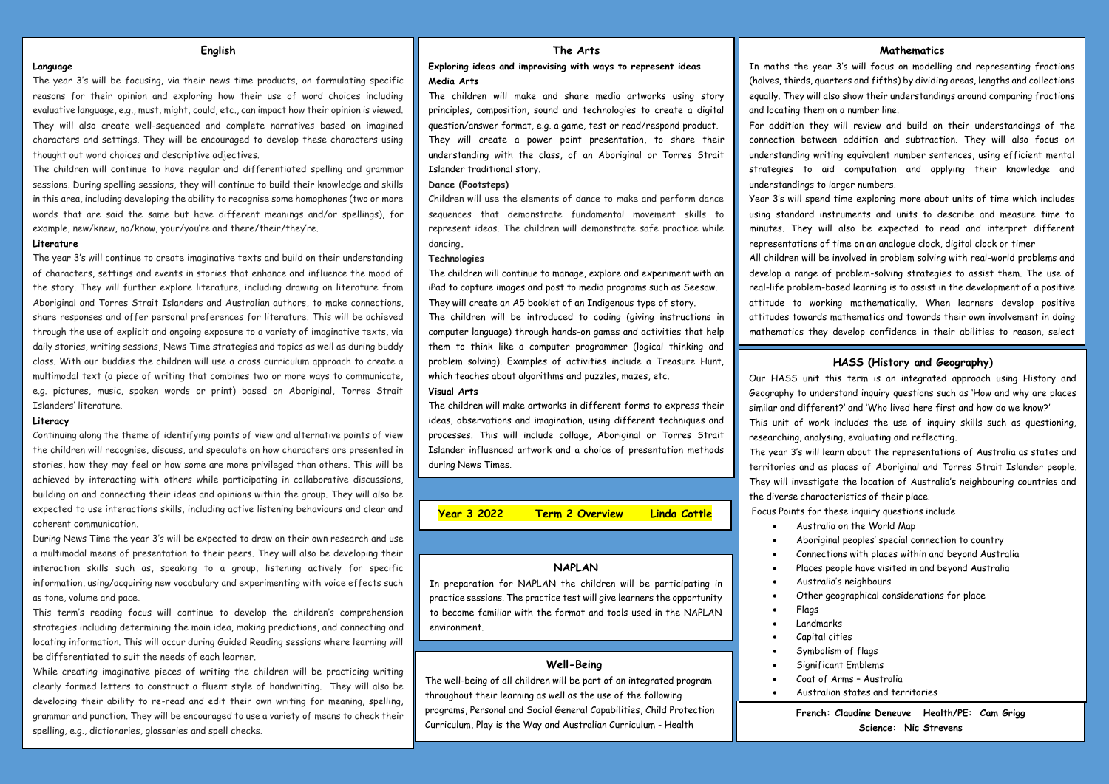## **English**

### **The Arts**

### **Language**

The year 3's will be focusing, via their news time products, on formulating specific reasons for their opinion and exploring how their use of word choices including evaluative language, e.g., must, might, could, etc., can impact how their opinion is viewed. They will also create well-sequenced and complete narratives based on imagined characters and settings. They will be encouraged to develop these characters using thought out word choices and descriptive adjectives.

The children will continue to have regular and differentiated spelling and grammar sessions. During spelling sessions, they will continue to build their knowledge and skills in this area, including developing the ability to recognise some homophones (two or more words that are said the same but have different meanings and/or spellings), for example, new/knew, no/know, your/you're and there/their/they're.

### **Literature**

The year 3's will continue to create imaginative texts and build on their understanding of characters, settings and events in stories that enhance and influence the mood of the story. They will further explore literature, including drawing on literature from Aboriginal and Torres Strait Islanders and Australian authors, to make connections share responses and offer personal preferences for literature. This will be achieved through the use of explicit and ongoing exposure to a variety of imaginative texts, via daily stories, writing sessions, News Time strategies and topics as well as during buddy class. With our buddies the children will use a cross curriculum approach to create a multimodal text (a piece of writing that combines two or more ways to communicate, e.g. pictures, music, spoken words or print) based on Aboriginal, Torres Strait Islanders' literature.

## **Literacy**

Continuing along the theme of identifying points of view and alternative points of view the children will recognise, discuss, and speculate on how characters are presented in stories, how they may feel or how some are more privileged than others. This will be achieved by interacting with others while participating in collaborative discussions, building on and connecting their ideas and opinions within the group. They will also be expected to use interactions skills, including active listening behaviours and clear and coherent communication.

During News Time the year 3's will be expected to draw on their own research and use a multimodal means of presentation to their peers. They will also be developing their interaction skills such as, speaking to a group, listening actively for specific information, using/acquiring new vocabulary and experimenting with voice effects such as tone, volume and pace.

This term's reading focus will continue to develop the children's comprehension strategies including determining the main idea, making predictions, and connecting and locating information. This will occur during Guided Reading sessions where learning will be differentiated to suit the needs of each learner.

While creating imaginative pieces of writing the children will be practicing writing clearly formed letters to construct a fluent style of handwriting. They will also be developing their ability to re-read and edit their own writing for meaning, spelling, grammar and punction. They will be encouraged to use a variety of means to check their spelling, e.g., dictionaries, glossaries and spell checks.

## **Exploring ideas and improvising with ways to represent ideas Media Arts**

The children will make and share media artworks using story principles, composition, sound and technologies to create a digital question/answer format, e.g. a game, test or read/respond product. They will create a power point presentation, to share their understanding with the class, of an Aboriginal or Torres Strait Islander traditional story.

## **Dance (Footsteps)**

Children will use the elements of dance to make and perform dance sequences that demonstrate fundamental movement skills to represent ideas. The children will demonstrate safe practice while dancing**.**

### **Technologies**

The children will continue to manage, explore and experiment with an iPad to capture images and post to media programs such as Seesaw. They will create an A5 booklet of an Indigenous type of story.

The children will be introduced to coding (giving instructions in computer language) through hands-on games and activities that help them to think like a computer programmer (logical thinking and problem solving). Examples of activities include a Treasure Hunt, which teaches about algorithms and puzzles, mazes, etc.

#### **Visual Arts**

The children will make artworks in different forms to express their ideas, observations and imagination, using different techniques and processes. This will include collage, Aboriginal or Torres Strait Islander influenced artwork and a choice of presentation methods during News Times.

**Year 3 2022 Term 2 Overview Linda Cottle** 

# **NAPLAN**

In preparation for NAPLAN the children will be participating in practice sessions. The practice test will give learners the opportunity to become familiar with the format and tools used in the NAPLAN environment.

## **Well-Being**

The well-being of all children will be part of an integrated program throughout their learning as well as the use of the following programs, Personal and Social General Capabilities, Child Protection Curriculum, Play is the Way and Australian Curriculum - Health

## **Mathematics**

In maths the year 3's will focus on modelling and representing fractions (halves, thirds, quarters and fifths) by dividing areas, lengths and collections equally. They will also show their understandings around comparing fractions and locating them on a number line.

For addition they will review and build on their understandings of the connection between addition and subtraction. They will also focus on understanding writing equivalent number sentences, using efficient mental strategies to aid computation and applying their knowledge and understandings to larger numbers.

Year 3's will spend time exploring more about units of time which includes using standard instruments and units to describe and measure time to minutes. They will also be expected to read and interpret different representations of time on an analogue clock, digital clock or timer

All children will be involved in problem solving with real-world problems and develop a range of problem-solving strategies to assist them. The use of real-life problem-based learning is to assist in the development of a positive attitude to working mathematically. When learners develop positive attitudes towards mathematics and towards their own involvement in doing mathematics they develop confidence in their abilities to reason, select

#### **HASS (History and Geography)**

Our HASS unit this term is an integrated approach using History and Geography to understand inquiry questions such as 'How and why are places similar and different?' and 'Who lived here first and how do we know?' This unit of work includes the use of inquiry skills such as questioning, researching, analysing, evaluating and reflecting.

The year 3's will learn about the representations of Australia as states and territories and as places of Aboriginal and Torres Strait Islander people. They will investigate the location of Australia's neighbouring countries and the diverse characteristics of their place.

Focus Points for these inquiry questions include

strategies, apply knowledge, and justify their thinking.

- Australia on the World Map
- Aboriginal peoples' special connection to country
- Connections with places within and beyond Australia
- Places people have visited in and beyond Australia
- Australia's neighbours
- Other geographical considerations for place
- **Flags**
- Landmarks
- Capital cities
- Symbolism of flags
- Significant Emblems
- Coat of Arms Australia
- Australian states and territories

**French: Claudine Deneuve Health/PE: Cam Grigg Science: Nic Strevens**